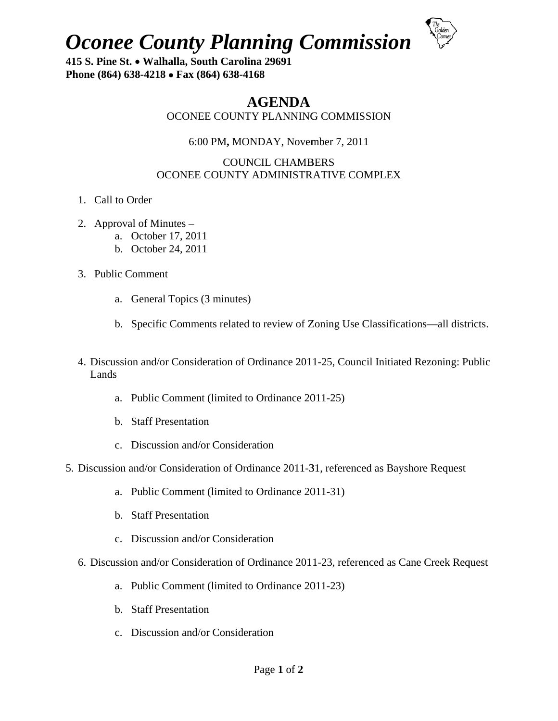**Oconee County Planning Commission** 



415 S. Pine St. • Walhalla, South Carolina 29691 Phone (864) 638-4218 • Fax (864) 638-4168

# **AGENDA**

OCONEE COUNTY PLANNING COMMISSION

# 6:00 PM, MONDAY, November 7, 2011

## **COUNCIL CHAMBERS** OCONEE COUNTY ADMINISTRATIVE COMPLEX

- 1. Call to Order
- 2. Approval of Minutes  $$ 
	- a. October 17, 2011
	- b. October 24, 2011
- 3. Public Comment
	- a. General Topics (3 minutes)
	- b. Specific Comments related to review of Zoning Use Classifications—all districts.
- 4. Discussion and/or Consideration of Ordinance 2011-25, Council Initiated Rezoning: Public Lands
	- a. Public Comment (limited to Ordinance 2011-25)
	- b. Staff Presentation
	- c. Discussion and/or Consideration
- 5. Discussion and/or Consideration of Ordinance 2011-31, referenced as Bayshore Request
	- a. Public Comment (limited to Ordinance 2011-31)
	- b. Staff Presentation
	- c. Discussion and/or Consideration
	- 6. Discussion and/or Consideration of Ordinance 2011-23, referenced as Cane Creek Request
		- a. Public Comment (limited to Ordinance 2011-23)
		- b. Staff Presentation
		- c. Discussion and/or Consideration